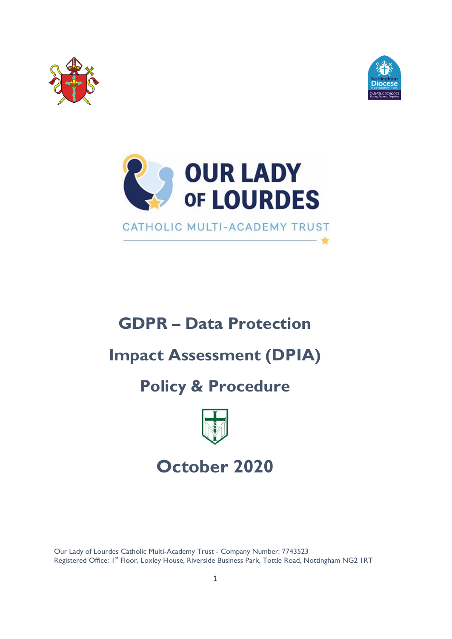



 $\frac{1}{24}$ 



# **GDPR – Data Protection**

## **Impact Assessment (DPIA)**

## **Policy & Procedure**



# **October 2020**

 Our Lady of Lourdes Catholic Multi-Academy Trust - Company Number: 7743523 Registered Office: 1<sup>st</sup> Floor, Loxley House, Riverside Business Park, Tottle Road, Nottingham NG2 IRT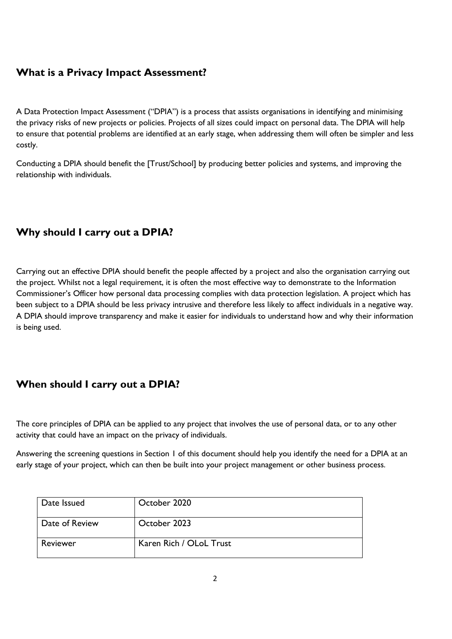## **What is a Privacy Impact Assessment?**

A Data Protection Impact Assessment ("DPIA") is a process that assists organisations in identifying and minimising the privacy risks of new projects or policies. Projects of all sizes could impact on personal data. The DPIA will help to ensure that potential problems are identified at an early stage, when addressing them will often be simpler and less costly.

Conducting a DPIA should benefit the [Trust/School] by producing better policies and systems, and improving the relationship with individuals.

## **Why should I carry out a DPIA?**

Carrying out an effective DPIA should benefit the people affected by a project and also the organisation carrying out the project. Whilst not a legal requirement, it is often the most effective way to demonstrate to the Information Commissioner's Officer how personal data processing complies with data protection legislation. A project which has been subject to a DPIA should be less privacy intrusive and therefore less likely to affect individuals in a negative way. A DPIA should improve transparency and make it easier for individuals to understand how and why their information is being used.

## **When should I carry out a DPIA?**

The core principles of DPIA can be applied to any project that involves the use of personal data, or to any other activity that could have an impact on the privacy of individuals.

Answering the screening questions in Section 1 of this document should help you identify the need for a DPIA at an early stage of your project, which can then be built into your project management or other business process.

| Date Issued    | October 2020            |
|----------------|-------------------------|
| Date of Review | October 2023            |
| Reviewer       | Karen Rich / OLoL Trust |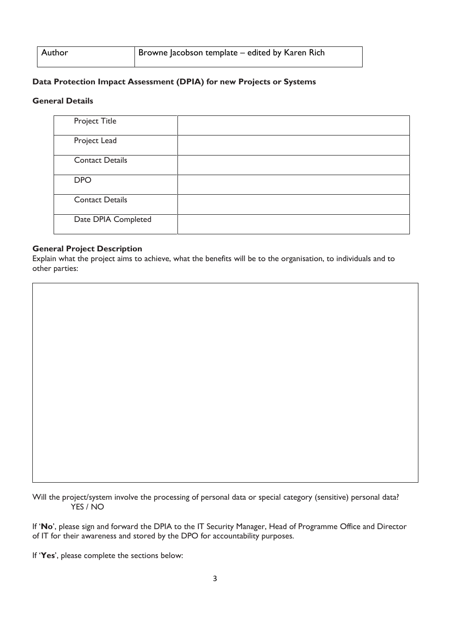| Author | Browne Jacobson template – edited by Karen Rich |
|--------|-------------------------------------------------|
|        |                                                 |

#### **Data Protection Impact Assessment (DPIA) for new Projects or Systems**

#### **General Details**

| <b>Project Title</b>   |  |
|------------------------|--|
| Project Lead           |  |
| <b>Contact Details</b> |  |
| <b>DPO</b>             |  |
| <b>Contact Details</b> |  |
| Date DPIA Completed    |  |

#### **General Project Description**

Explain what the project aims to achieve, what the benefits will be to the organisation, to individuals and to other parties:

Will the project/system involve the processing of personal data or special category (sensitive) personal data? YES / NO

If '**No**', please sign and forward the DPIA to the IT Security Manager, Head of Programme Office and Director of IT for their awareness and stored by the DPO for accountability purposes.

If '**Yes**', please complete the sections below: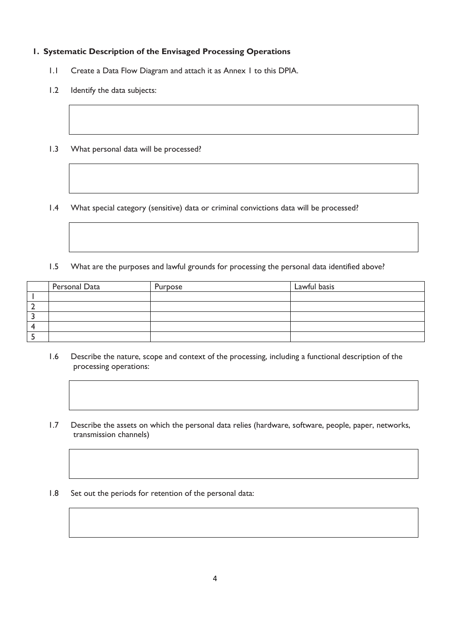#### **1. Systematic Description of the Envisaged Processing Operations**

- 1.1 Create a Data Flow Diagram and attach it as Annex 1 to this DPIA.
- 1.2 Identify the data subjects:
- 1.3 What personal data will be processed?

1.4 What special category (sensitive) data or criminal convictions data will be processed?

1.5 What are the purposes and lawful grounds for processing the personal data identified above?

| Personal Data | Purpose | Lawful basis |
|---------------|---------|--------------|
|               |         |              |
|               |         |              |
|               |         |              |
|               |         |              |
|               |         |              |

- 1.6 Describe the nature, scope and context of the processing, including a functional description of the processing operations:
- 1.7 Describe the assets on which the personal data relies (hardware, software, people, paper, networks, transmission channels)
- 1.8 Set out the periods for retention of the personal data: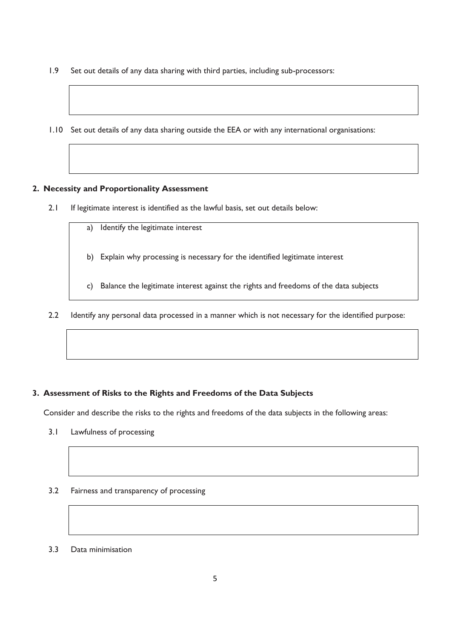- 1.9 Set out details of any data sharing with third parties, including sub-processors:
- 1.10 Set out details of any data sharing outside the EEA or with any international organisations:

#### **2. Necessity and Proportionality Assessment**

- 2.1 If legitimate interest is identified as the lawful basis, set out details below:
	- a) Identify the legitimate interest b) Explain why processing is necessary for the identified legitimate interest c) Balance the legitimate interest against the rights and freedoms of the data subjects
- 2.2 Identify any personal data processed in a manner which is not necessary for the identified purpose:

#### **3. Assessment of Risks to the Rights and Freedoms of the Data Subjects**

Consider and describe the risks to the rights and freedoms of the data subjects in the following areas:

- 3.1 Lawfulness of processing
- 3.2 Fairness and transparency of processing
- 3.3 Data minimisation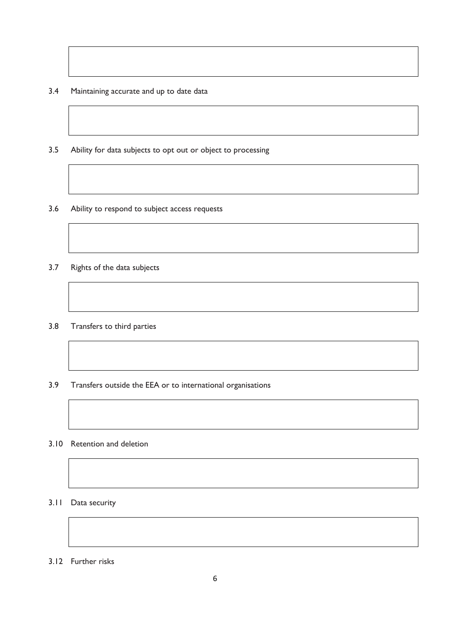- 3.4 Maintaining accurate and up to date data
- 3.5 Ability for data subjects to opt out or object to processing
- 3.6 Ability to respond to subject access requests
- 3.7 Rights of the data subjects
- 3.8 Transfers to third parties
- 3.9 Transfers outside the EEA or to international organisations
- 3.10 Retention and deletion

#### 3.11 Data security

3.12 Further risks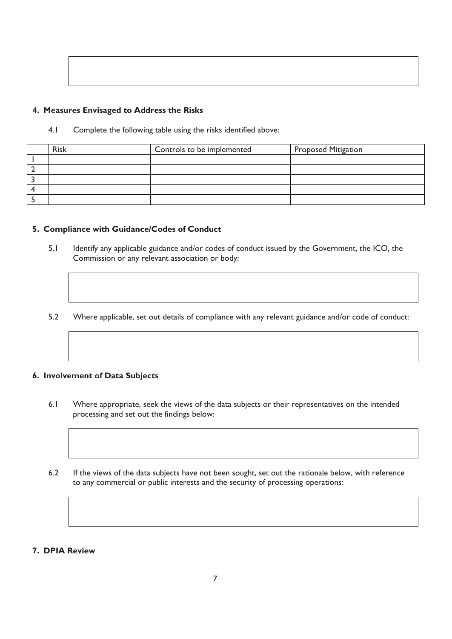#### **4. Measures Envisaged to Address the Risks**

4.1 Complete the following table using the risks identified above:

| <b>Risk</b> | Controls to be implemented | <b>Proposed Mitigation</b> |
|-------------|----------------------------|----------------------------|
|             |                            |                            |
|             |                            |                            |
|             |                            |                            |
|             |                            |                            |
|             |                            |                            |

#### **5. Compliance with Guidance/Codes of Conduct**

- 5.1 Identify any applicable guidance and/or codes of conduct issued by the Government, the ICO, the Commission or any relevant association or body:
- 5.2 Where applicable, set out details of compliance with any relevant guidance and/or code of conduct:

#### **6. Involvement of Data Subjects**

- 6.1 Where appropriate, seek the views of the data subjects or their representatives on the intended processing and set out the findings below:
- 6.2 If the views of the data subjects have not been sought, set out the rationale below, with reference to any commercial or public interests and the security of processing operations:
- **7. DPIA Review**